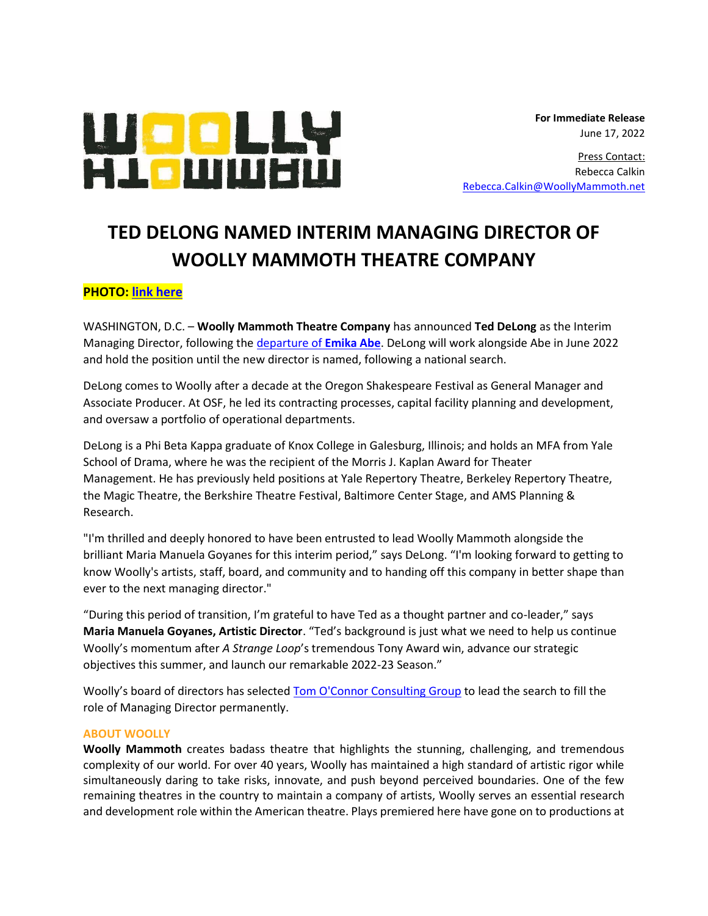

 **For Immediate Release** June 17, 2022

Press Contact: Rebecca Calkin [Rebecca.Calkin@WoollyMammoth.net](mailto:Rebecca.Calkin@WoollyMammoth.net)

## **TED DELONG NAMED INTERIM MANAGING DIRECTOR OF WOOLLY MAMMOTH THEATRE COMPANY**

## **PHOTO: [link here](https://woollymammothnet-my.sharepoint.com/:f:/g/personal/rebecca_calkin_woollymammoth_net/Eg2vj-prHylKgmajMLp4CrwBIepCHWVgDZxQPAPSe-4txw?e=4VWQn3)**

WASHINGTON, D.C. – **Woolly Mammoth Theatre Company** has announced **Ted DeLong** as the Interim Managing Director, following the [departure of](https://cdn.woollymammoth.net/20220506125501/WOOLLY_MAMMOTH_THEATRE_COMPANY_MANAGING_DIRECTOR_TO_DEPART.pdf) **Emika Abe**. DeLong will work alongside Abe in June 2022 and hold the position until the new director is named, following a national search.

DeLong comes to Woolly after a decade at the Oregon Shakespeare Festival as General Manager and Associate Producer. At OSF, he led its contracting processes, capital facility planning and development, and oversaw a portfolio of operational departments.

DeLong is a Phi Beta Kappa graduate of Knox College in Galesburg, Illinois; and holds an MFA from Yale School of Drama, where he was the recipient of the Morris J. Kaplan Award for Theater Management. He has previously held positions at Yale Repertory Theatre, Berkeley Repertory Theatre, the Magic Theatre, the Berkshire Theatre Festival, Baltimore Center Stage, and AMS Planning & Research.

"I'm thrilled and deeply honored to have been entrusted to lead Woolly Mammoth alongside the brilliant Maria Manuela Goyanes for this interim period," says DeLong. "I'm looking forward to getting to know Woolly's artists, staff, board, and community and to handing off this company in better shape than ever to the next managing director."

"During this period of transition, I'm grateful to have Ted as a thought partner and co-leader," says **Maria Manuela Goyanes, Artistic Director**. "Ted's background is just what we need to help us continue Woolly's momentum after *A Strange Loop*'s tremendous Tony Award win, advance our strategic objectives this summer, and launch our remarkable 2022-23 Season."

Woolly's board of directors has selected [Tom O'Connor Consulting Group](http://www.tomocgroup.com/) to lead the search to fill the role of Managing Director permanently.

## **ABOUT WOOLLY**

**Woolly Mammoth** creates badass theatre that highlights the stunning, challenging, and tremendous complexity of our world. For over 40 years, Woolly has maintained a high standard of artistic rigor while simultaneously daring to take risks, innovate, and push beyond perceived boundaries. One of the few remaining theatres in the country to maintain a company of artists, Woolly serves an essential research and development role within the American theatre. Plays premiered here have gone on to productions at